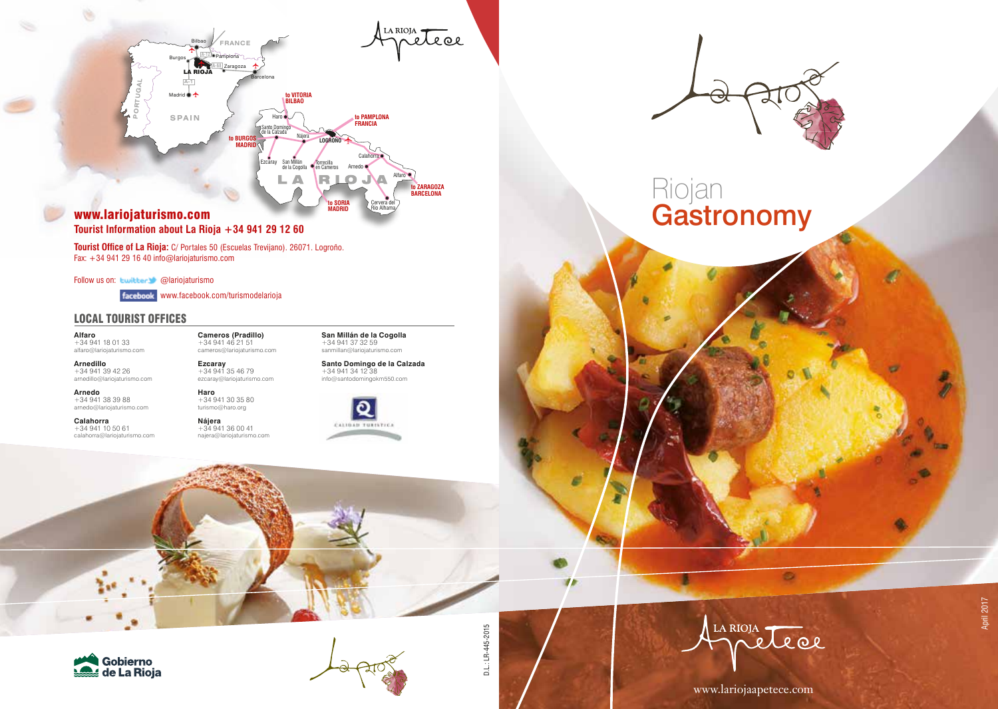

### **Tourist Information about La Rioja +34 941 29 12 60**

**Tourist Office of La Rioja:** C/ Portales 50 (Escuelas Trevijano). 26071. Logroño. Fax: +34 941 29 16 40 info@lariojaturismo.com

Follow us on: Luitter @lariojaturismo

www.facebook.com/turismodelarioja

**Haro**  $+34.941.30.35.80$ 

### LOCAL TOURIST OFFICES

**Alfaro**  $+34941180133$ alfaro@lariojaturismo.com **Cameros (Pradillo)**  $+34941462151$ cameros@lariojaturismo.com **Ezcaray** +34 941 35 46 79

**Arnedillo** +34 941 39 42 26 arnedillo@lariojaturismo.com

**Arnedo** +34 941 38 39 88

arnedo@lariojaturismo.com

**Calahorra**  $+34941105061$ calahorra@lariojaturismo.com turismo@haro.org **Nájera**  $+34941360041$ najera@lariojaturismo.com

ezcaray@lariojaturismo.com



**San Millán de la Cogolla** +34 941 37 32 59 sanmillan@lariojaturismo.com **Santo Domingo de la Calzada** +34 941 34 12 38







D.L.: LR-445-2015 D.L.: LR-445-2015



Riojan

**Gastronomy** 

**Distri**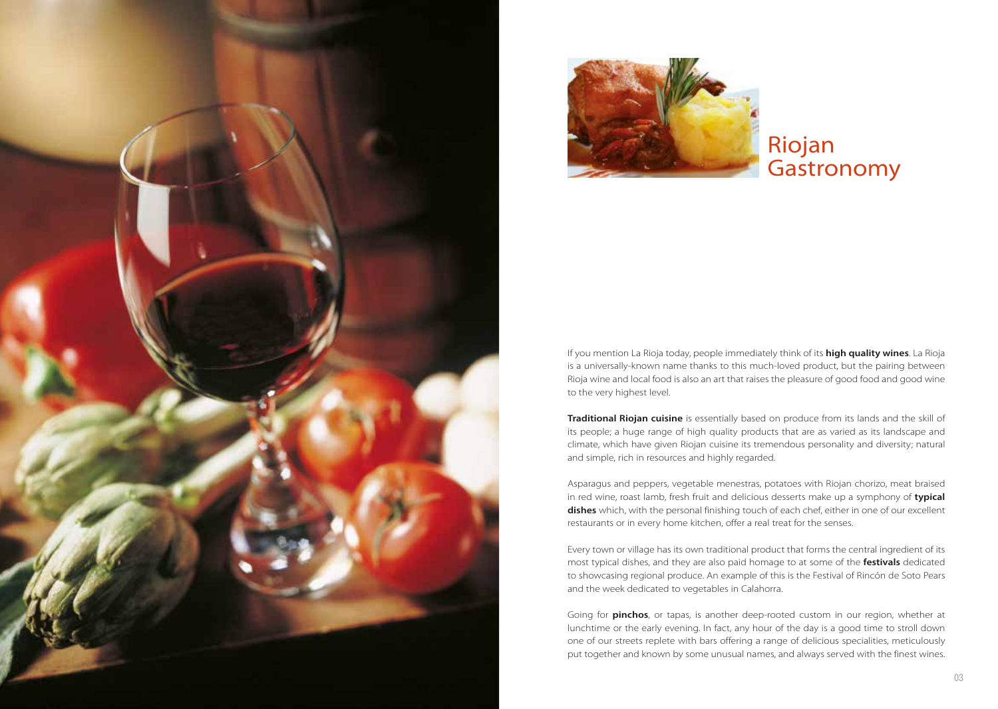



# Riojan **Gastronomy**

If you mention La Rioja today, people immediately think of its **high quality wines**. La Rioja is a universally-known name thanks to this much-loved product, but the pairing between Rioja wine and local food is also an art that raises the pleasure of good food and good wine to the very highest level.

**Traditional Riojan cuisine** is essentially based on produce from its lands and the skill of its people; a huge range of high quality products that are as varied as its landscape and climate, which have given Riojan cuisine its tremendous personality and diversity; natural and simple, rich in resources and highly regarded.

Asparagus and peppers, vegetable menestras, potatoes with Riojan chorizo, meat braised in red wine, roast lamb, fresh fruit and delicious desserts make up a symphony of **typical dishes** which, with the personal finishing touch of each chef, either in one of our excellent restaurants or in every home kitchen, offer a real treat for the senses.

Every town or village has its own traditional product that forms the central ingredient of its most typical dishes, and they are also paid homage to at some of the **festivals** dedicated to showcasing regional produce. An example of this is the Festival of Rincón de Soto Pears and the week dedicated to vegetables in Calahorra.

Going for **pinchos**, or tapas, is another deep-rooted custom in our region, whether at lunchtime or the early evening. In fact, any hour of the day is a good time to stroll down one of our streets replete with bars offering a range of delicious specialities, meticulously put together and known by some unusual names, and always served with the finest wines.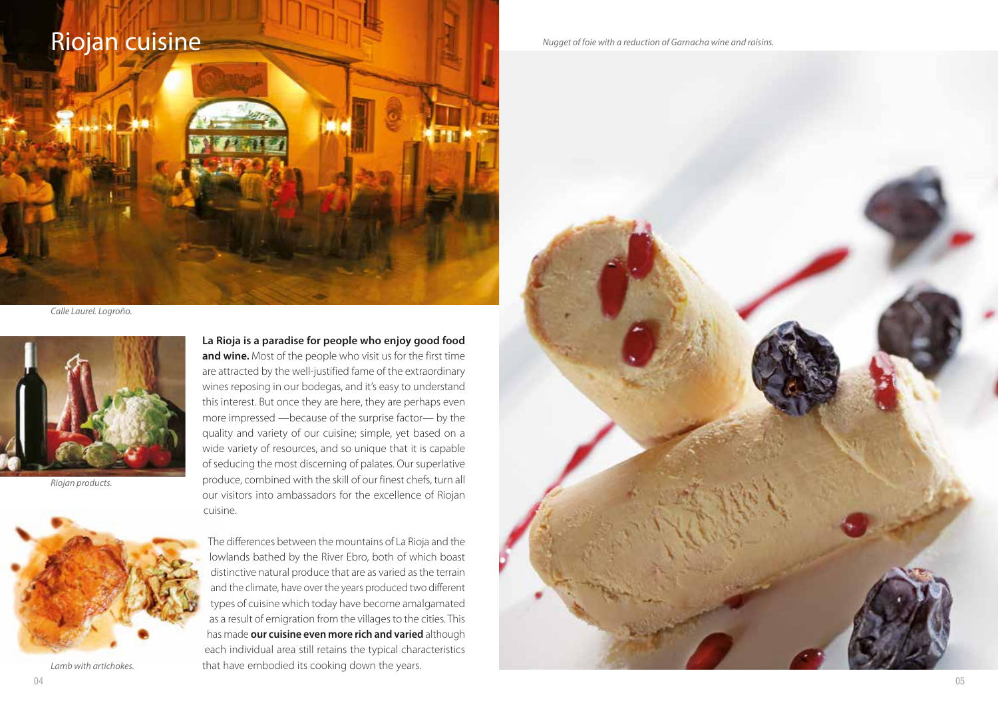# Riojan cuisine

*Calle Laurel. Logroño.*



*Riojan products.*



*Lamb with artichokes.*

**La Rioja is a paradise for people who enjoy good food and wine.** Most of the people who visit us for the first time are attracted by the well-justified fame of the extraordinary wines reposing in our bodegas, and it's easy to understand this interest. But once they are here, they are perhaps even more impressed —because of the surprise factor— by the quality and variety of our cuisine; simple, yet based on a wide variety of resources, and so unique that it is capable of seducing the most discerning of palates. Our superlative produce, combined with the skill of our finest chefs, turn all our visitors into ambassadors for the excellence of Riojan cuisine.

The differences between the mountains of La Rioja and the lowlands bathed by the River Ebro, both of which boast distinctive natural produce that are as varied as the terrain and the climate, have over the years produced two different types of cuisine which today have become amalgamated as a result of emigration from the villages to the cities. This has made **our cuisine even more rich and varied** although each individual area still retains the typical characteristics that have embodied its cooking down the years.

*Nugget of foie with a reduction of Garnacha wine and raisins.*

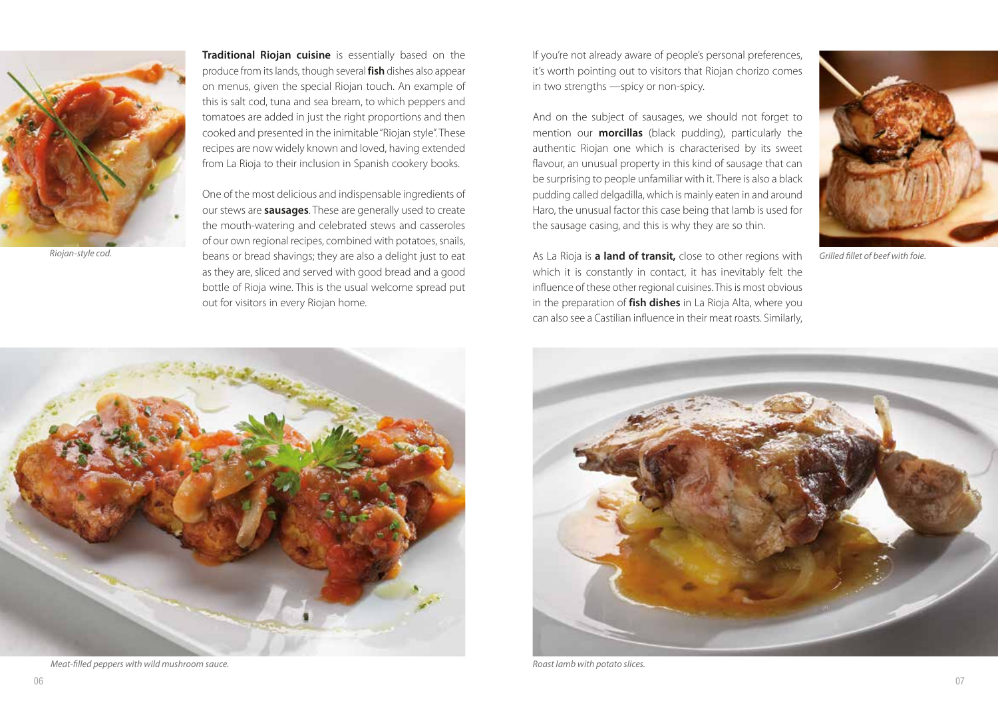

**Traditional Riojan cuisine** is essentially based on the produce from its lands, though several **fish** dishes also appear on menus, given the special Riojan touch. An example of this is salt cod, tuna and sea bream, to which peppers and tomatoes are added in just the right proportions and then cooked and presented in the inimitable "Riojan style". These recipes are now widely known and loved, having extended from La Rioja to their inclusion in Spanish cookery books.

One of the most delicious and indispensable ingredients of our stews are **sausages**. These are generally used to create the mouth-watering and celebrated stews and casseroles of our own regional recipes, combined with potatoes, snails, Riojan-style cod. **Share contains the artic of the start of the contract of transic contracts** they are also a delight just to eat **As La Rioja is <b>a land of transit**, close to other regions with Grilled fillet of beef wit as they are, sliced and served with good bread and a good bottle of Rioja wine. This is the usual welcome spread put out for visitors in every Riojan home.

If you're not already aware of people's personal preferences, it's worth pointing out to visitors that Riojan chorizo comes in two strengths —spicy or non-spicy.

And on the subject of sausages, we should not forget to mention our **morcillas** (black pudding), particularly the authentic Riojan one which is characterised by its sweet flavour, an unusual property in this kind of sausage that can be surprising to people unfamiliar with it. There is also a black pudding called delgadilla, which is mainly eaten in and around Haro, the unusual factor this case being that lamb is used for the sausage casing, and this is why they are so thin.

As La Rioja is **a land of transit,** close to other regions with which it is constantly in contact, it has inevitably felt the influence of these other regional cuisines. This is most obvious in the preparation of **fish dishes** in La Rioja Alta, where you can also see a Castilian influence in their meat roasts. Similarly,





*Meat-filled peppers with wild mushroom sauce. Roast lamb with potato slices.*

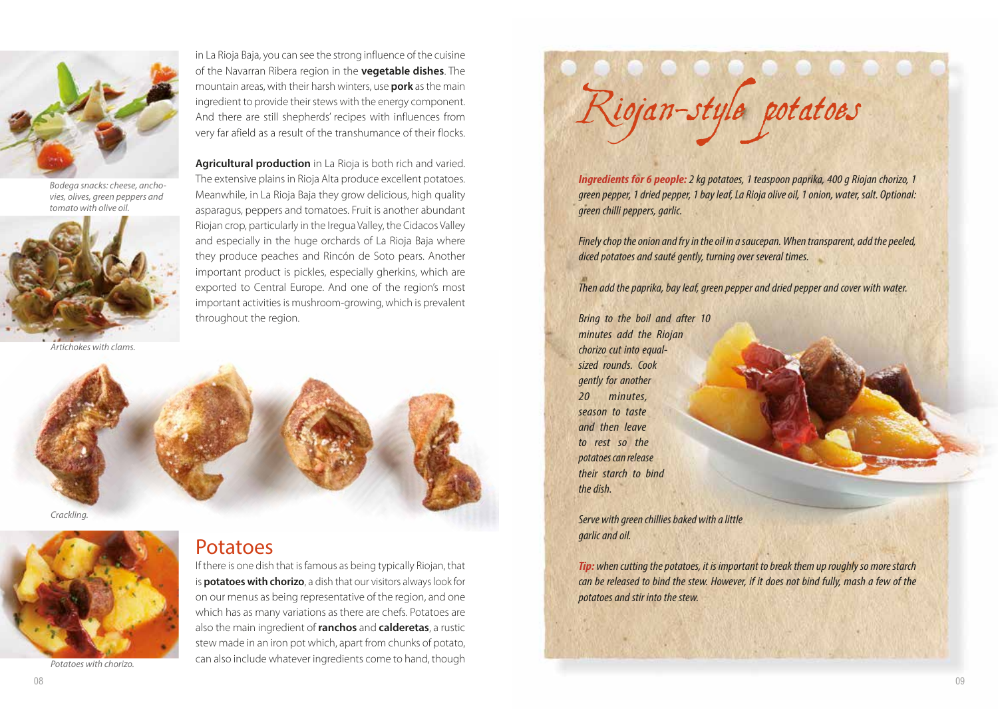

*Bodega snacks: cheese, anchovies, olives, green peppers and tomato with olive oil.*



*Artichokes with clams.*

in La Rioja Baja, you can see the strong influence of the cuisine of the Navarran Ribera region in the **vegetable dishes**. The mountain areas, with their harsh winters, use **pork** as the main ingredient to provide their stews with the energy component. And there are still shepherds' recipes with influences from very far afield as a result of the transhumance of their flocks.

**Agricultural production** in La Rioja is both rich and varied. The extensive plains in Rioja Alta produce excellent potatoes. Meanwhile, in La Rioja Baja they grow delicious, high quality asparagus, peppers and tomatoes. Fruit is another abundant Riojan crop, particularly in the Iregua Valley, the Cidacos Valley and especially in the huge orchards of La Rioja Baja where they produce peaches and Rincón de Soto pears. Another important product is pickles, especially gherkins, which are exported to Central Europe. And one of the region's most important activities is mushroom-growing, which is prevalent throughout the region.





*Potatoes with chorizo.*

# Potatoes

If there is one dish that is famous as being typically Riojan, that is **potatoes with chorizo**, a dish that our visitors always look for on our menus as being representative of the region, and one which has as many variations as there are chefs. Potatoes are also the main ingredient of **ranchos** and **calderetas**, a rustic stew made in an iron pot which, apart from chunks of potato, can also include whatever ingredients come to hand, though



*Ingredients for 6 people:2 kg potatoes, 1 teaspoon paprika, 400 g Riojan chorizo, 1 green pepper, 1 dried pepper, 1 bay leaf, La Rioja olive oil, 1 onion, water, salt. Optional: green chilli peppers, garlic.*

*Finely chop the onion and fry in the oil in a saucepan. When transparent, add the peeled, diced potatoes and sauté gently, turning over several times.*

*Then add the paprika, bay leaf, green pepper and dried pepper and cover with water.*

*Bring to the boil and after 10 minutes add the Riojan chorizo cut into equalsized rounds. Cook gently for another 20 minutes, season to taste and then leave to rest so the potatoes can release their starch to bind the dish.*

*Serve with green chillies baked with a little garlic and oil.*

*Tip: when cutting the potatoes, it is important to break them up roughly so more starch can be released to bind the stew. However, if it does not bind fully, mash a few of the potatoes and stir into the stew.*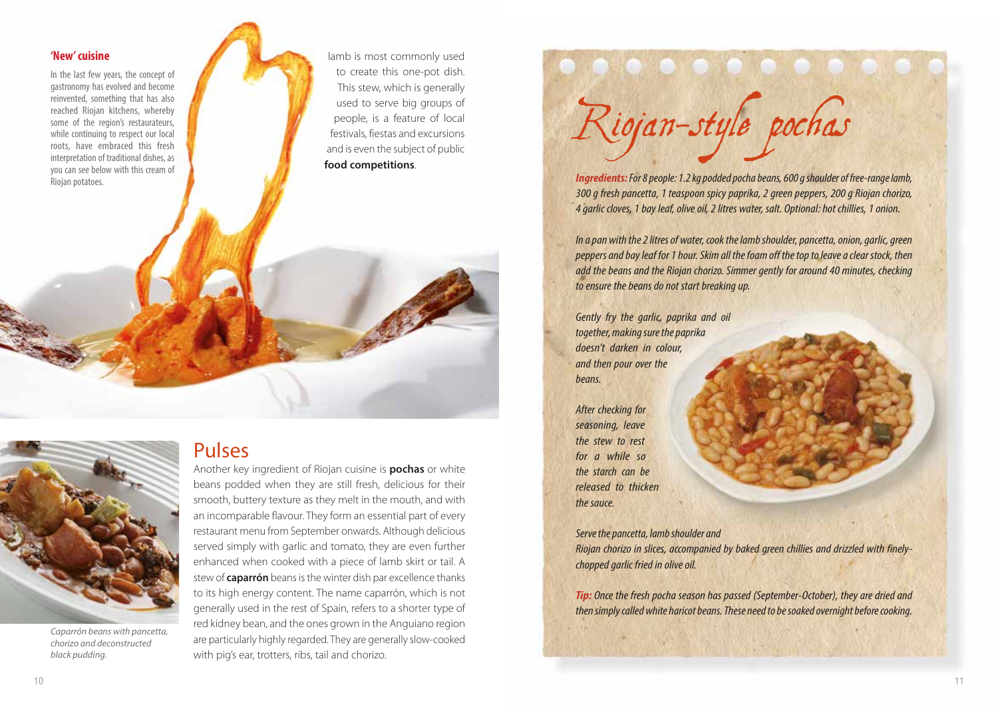### **'New' cuisine**

In the last few years, the concept of gastronomy has evolved and become reinvented, something that has also reached Riojan kitchens, whereby some of the region's restaurateurs, while continuing to respect our local roots, have embraced this fresh interpretation of traditional dishes, as you can see below with this cream of Riojan potatoes.

lamb is most commonly used to create this one-pot dish. This stew, which is generally used to serve big groups of people, is a feature of local festivals, fiestas and excursions and is even the subject of public **food competitions**.



*Caparrón beans with pancetta, chorizo and deconstructed black pudding.*

## Pulses

Another key ingredient of Riojan cuisine is **pochas** or white beans podded when they are still fresh, delicious for their smooth, buttery texture as they melt in the mouth, and with an incomparable flavour. They form an essential part of every restaurant menu from September onwards. Although delicious served simply with garlic and tomato, they are even further enhanced when cooked with a piece of lamb skirt or tail. A stew of **caparrón** beans is the winter dish par excellence thanks to its high energy content. The name caparrón, which is not generally used in the rest of Spain, refers to a shorter type of red kidney bean, and the ones grown in the Anguiano region are particularly highly regarded. They are generally slow-cooked with pig's ear, trotters, ribs, tail and chorizo.



*Ingredients: For 8 people: 1.2 kg podded pocha beans, 600 g shoulder of free-range lamb, 300 g fresh pancetta, 1 teaspoon spicy paprika, 2 green peppers, 200 g Riojan chorizo, 4 garlic cloves, 1 bay leaf, olive oil, 2 litres water, salt. Optional: hot chillies, 1 onion.*

*In a pan with the 2 litres of water, cook the lamb shoulder, pancetta, onion, garlic, green peppers and bay leaf for 1 hour. Skim all the foam off the top to leave a clear stock, then add the beans and the Riojan chorizo. Simmer gently for around 40 minutes, checking to ensure the beans do not start breaking up.*

*Gently fry the garlic, paprika and oil together, making sure the paprika doesn't darken in colour, and then pour over the beans.*

*After checking for seasoning, leave the stew to rest for a while so the starch can be released to thicken the sauce.*

#### *Serve the pancetta, lamb shoulder and*

*Riojan chorizo in slices, accompanied by baked green chillies and drizzled with finelychopped garlic fried in olive oil.*

*Tip: Once the fresh pocha season has passed (September-October), they are dried and then simply called white haricot beans. These need to be soaked overnight before cooking.*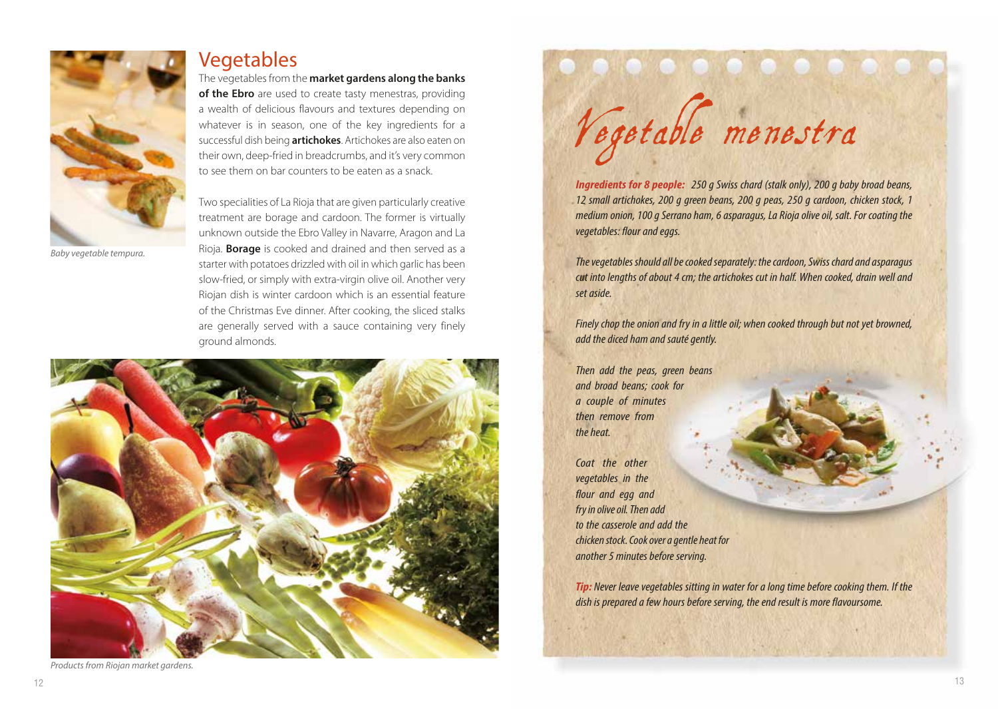

*Baby vegetable tempura.*

### **Vegetables**

The vegetables from the **market gardens along the banks of the Ebro** are used to create tasty menestras, providing a wealth of delicious flavours and textures depending on whatever is in season, one of the key ingredients for a successful dish being **artichokes**. Artichokes are also eaten on their own, deep-fried in breadcrumbs, and it's very common to see them on bar counters to be eaten as a snack.

Two specialities of La Rioja that are given particularly creative treatment are borage and cardoon. The former is virtually unknown outside the Ebro Valley in Navarre, Aragon and La Rioja. **Borage** is cooked and drained and then served as a starter with potatoes drizzled with oil in which garlic has been slow-fried, or simply with extra-virgin olive oil. Another very Riojan dish is winter cardoon which is an essential feature of the Christmas Eve dinner. After cooking, the sliced stalks are generally served with a sauce containing very finely ground almonds.



*Products from Riojan market gardens.*

recessions

*Ingredients for 8 people: 250 g Swiss chard (stalk only), 200 g baby broad beans, 12 small artichokes, 200 g green beans, 200 g peas, 250 g cardoon, chicken stock, 1 medium onion, 100 g Serrano ham, 6 asparagus, La Rioja olive oil, salt. For coating the vegetables: flour and eggs.*

*The vegetables should all be cooked separately: the cardoon, Swiss chard and asparagus cut into lengths of about 4 cm; the artichokes cut in half. When cooked, drain well and set aside.*

*Finely chop the onion and fry in a little oil; when cooked through but not yet browned, add the diced ham and sauté gently.*

*Then add the peas, green beans and broad beans; cook for a couple of minutes then remove from the heat.*

Coat the other *vegetables in the flour and egg and fry in olive oil. Then add to the casserole and add the chicken stock. Cook over a gentle heat for another 5 minutes before serving.*

*Tip: Never leave vegetables sitting in water for a long time before cooking them. If the dish is prepared a few hours before serving, the end result is more flavoursome.*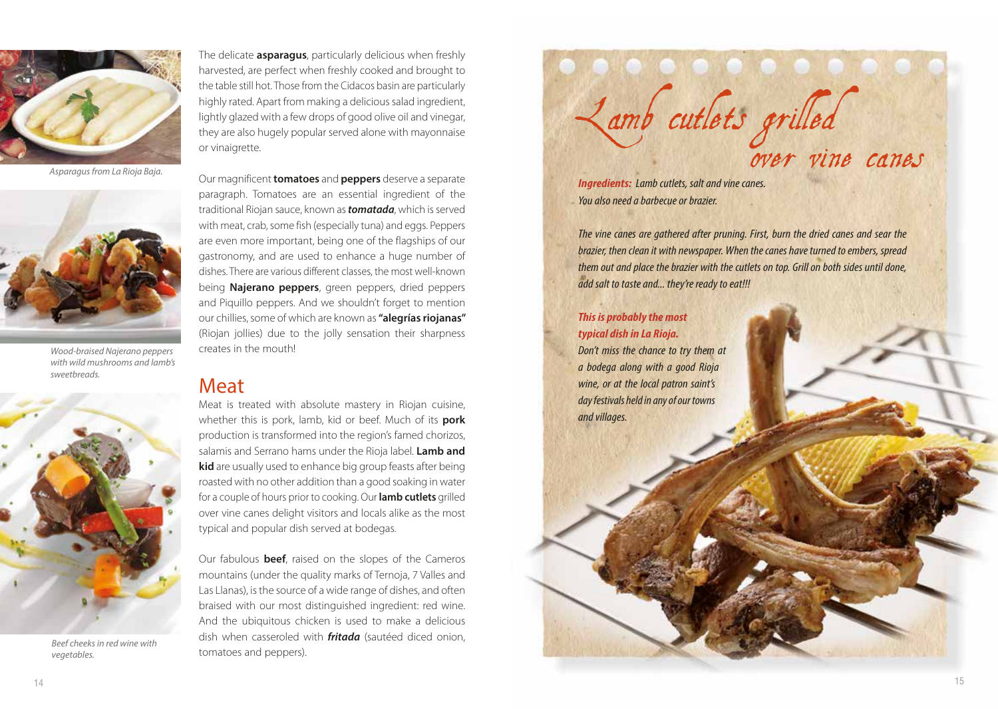

*Asparagus from La Rioja Baja.*



*Wood-braised Najerano peppers with wild mushrooms and lamb's sweetbreads.*



*Beef cheeks in red wine with vegetables.*

The delicate **asparagus**, particularly delicious when freshly harvested, are perfect when freshly cooked and brought to the table still hot. Those from the Cidacos basin are particularly highly rated. Apart from making a delicious salad ingredient, lightly glazed with a few drops of good olive oil and vinegar, they are also hugely popular served alone with mayonnaise or vinaigrette.

Our magnificent **tomatoes** and **peppers** deserve a separate paragraph. Tomatoes are an essential ingredient of the traditional Riojan sauce, known as *tomatada*, which is served with meat, crab, some fish (especially tuna) and eggs. Peppers are even more important, being one of the flagships of our gastronomy, and are used to enhance a huge number of dishes. There are various different classes, the most well-known being **Najerano peppers**, green peppers, dried peppers and Piquillo peppers. And we shouldn't forget to mention our chillies, some of which are known as **"alegrías riojanas"**  (Riojan jollies) due to the jolly sensation their sharpness creates in the mouth!

### Meat

Meat is treated with absolute mastery in Riojan cuisine, whether this is pork, lamb, kid or beef. Much of its **pork**  production is transformed into the region's famed chorizos, salamis and Serrano hams under the Rioja label. **Lamb and kid** are usually used to enhance big group feasts after being roasted with no other addition than a good soaking in water for a couple of hours prior to cooking. Our **lamb cutlets** grilled over vine canes delight visitors and locals alike as the most typical and popular dish served at bodegas.

Our fabulous **beef**, raised on the slopes of the Cameros mountains (under the quality marks of Ternoja, 7 Valles and Las Llanas), is the source of a wide range of dishes, and often braised with our most distinguished ingredient: red wine. And the ubiquitous chicken is used to make a delicious dish when casseroled with *fritada* (sautéed diced onion, tomatoes and peppers).

Lamb cutlets grilled over vine canes

*Ingredients: Lamb cutlets, salt and vine canes. You also need a barbecue or brazier.*

*The vine canes are gathered after pruning. First, burn the dried canes and sear the brazier, then clean it with newspaper. When the canes have turned to embers, spread them out and place the brazier with the cutlets on top. Grill on both sides until done, add salt to taste and... they're ready to eat!!!*

### *This is probably the most typical dish in La Rioja.*

*Don't miss the chance to try them at a bodega along with a good Rioja wine, or at the local patron saint's day festivals held in any of our towns and villages.*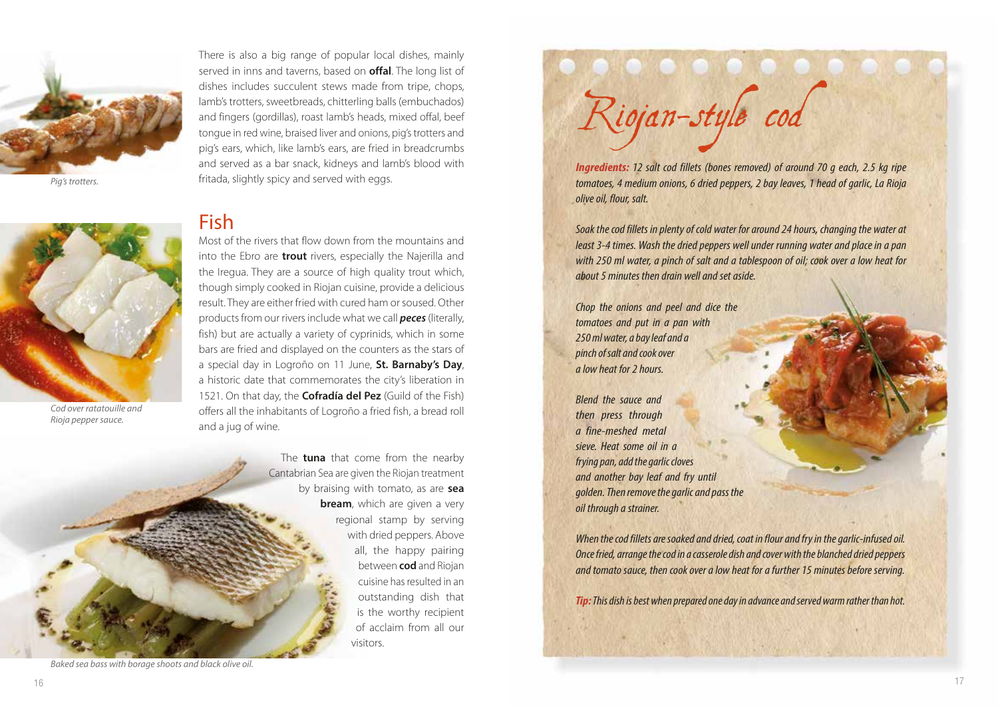

*Pig's trotters.*

There is also a big range of popular local dishes, mainly served in inns and taverns, based on **offal**. The long list of dishes includes succulent stews made from tripe, chops, lamb's trotters, sweetbreads, chitterling balls (embuchados) and fingers (gordillas), roast lamb's heads, mixed offal, beef tongue in red wine, braised liver and onions, pig's trotters and pig's ears, which, like lamb's ears, are fried in breadcrumbs and served as a bar snack, kidneys and lamb's blood with fritada, slightly spicy and served with eggs.

## Fish



*Cod over ratatouille and Rioja pepper sauce.*

Most of the rivers that flow down from the mountains and into the Ebro are **trout** rivers, especially the Najerilla and the Iregua. They are a source of high quality trout which, though simply cooked in Riojan cuisine, provide a delicious result. They are either fried with cured ham or soused. Other products from our rivers include what we call *peces* (literally, fish) but are actually a variety of cyprinids, which in some bars are fried and displayed on the counters as the stars of a special day in Logroño on 11 June, **St. Barnaby's Day**, a historic date that commemorates the city's liberation in 1521. On that day, the **Cofradía del Pez** (Guild of the Fish) offers all the inhabitants of Logroño a fried fish, a bread roll and a jug of wine.

> The **tuna** that come from the nearby Cantabrian Sea are given the Riojan treatment by braising with tomato, as are **sea bream**, which are given a very regional stamp by serving with dried peppers. Above all, the happy pairing between **cod** and Riojan cuisine has resulted in an outstanding dish that is the worthy recipient of acclaim from all our visitors.

Riojan-style cod

*Ingredients: 12 salt cod fillets (bones removed) of around 70 g each, 2.5 kg ripe tomatoes, 4 medium onions, 6 dried peppers, 2 bay leaves, 1 head of garlic, La Rioja olive oil, flour, salt.*

*Soak the cod fillets in plenty of cold water for around 24 hours, changing the water at least 3-4 times. Wash the dried peppers well under running water and place in a pan with 250 ml water, a pinch of salt and a tablespoon of oil; cook over a low heat for about 5 minutes then drain well and set aside.*

*Chop the onions and peel and dice the tomatoes and put in a pan with 250 ml water, a bay leaf and a pinch of salt and cook over a low heat for 2 hours.*

*Blend the sauce and then press through a fine-meshed metal sieve. Heat some oil in a frying pan, add the garlic cloves and another bay leaf and fry until golden. Then remove the garlic and pass the oil through a strainer.* 

*When the cod fillets are soaked and dried, coat in flour and fry in the garlic-infused oil. Once fried, arrange the cod in a casserole dish and cover with the blanched dried peppers and tomato sauce, then cook over a low heat for a further 15 minutes before serving.*

*Tip: This dish is best when prepared one day in advance and served warm rather than hot.*

*Baked sea bass with borage shoots and black olive oil.*